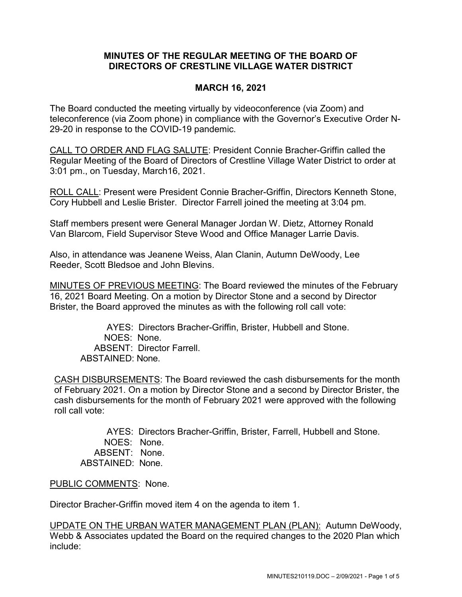## **MINUTES OF THE REGULAR MEETING OF THE BOARD OF DIRECTORS OF CRESTLINE VILLAGE WATER DISTRICT**

## **MARCH 16, 2021**

The Board conducted the meeting virtually by videoconference (via Zoom) and teleconference (via Zoom phone) in compliance with the Governor's Executive Order N-29-20 in response to the COVID-19 pandemic.

CALL TO ORDER AND FLAG SALUTE: President Connie Bracher-Griffin called the Regular Meeting of the Board of Directors of Crestline Village Water District to order at 3:01 pm., on Tuesday, March16, 2021.

ROLL CALL: Present were President Connie Bracher-Griffin, Directors Kenneth Stone, Cory Hubbell and Leslie Brister. Director Farrell joined the meeting at 3:04 pm.

Staff members present were General Manager Jordan W. Dietz, Attorney Ronald Van Blarcom, Field Supervisor Steve Wood and Office Manager Larrie Davis.

Also, in attendance was Jeanene Weiss, Alan Clanin, Autumn DeWoody, Lee Reeder, Scott Bledsoe and John Blevins.

MINUTES OF PREVIOUS MEETING: The Board reviewed the minutes of the February 16, 2021 Board Meeting. On a motion by Director Stone and a second by Director Brister, the Board approved the minutes as with the following roll call vote:

AYES: Directors Bracher-Griffin, Brister, Hubbell and Stone. NOES: None. ABSENT: Director Farrell. ABSTAINED: None.

CASH DISBURSEMENTS: The Board reviewed the cash disbursements for the month of February 2021. On a motion by Director Stone and a second by Director Brister, the cash disbursements for the month of February 2021 were approved with the following roll call vote:

AYES: Directors Bracher-Griffin, Brister, Farrell, Hubbell and Stone. NOES: None. ABSENT: None. ABSTAINED: None.

PUBLIC COMMENTS: None.

Director Bracher-Griffin moved item 4 on the agenda to item 1.

UPDATE ON THE URBAN WATER MANAGEMENT PLAN (PLAN): Autumn DeWoody, Webb & Associates updated the Board on the required changes to the 2020 Plan which include: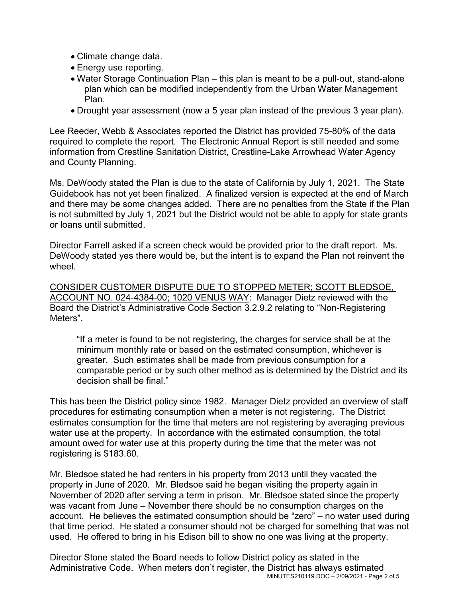- Climate change data.
- Energy use reporting.
- Water Storage Continuation Plan this plan is meant to be a pull-out, stand-alone plan which can be modified independently from the Urban Water Management Plan.
- Drought year assessment (now a 5 year plan instead of the previous 3 year plan).

Lee Reeder, Webb & Associates reported the District has provided 75-80% of the data required to complete the report. The Electronic Annual Report is still needed and some information from Crestline Sanitation District, Crestline-Lake Arrowhead Water Agency and County Planning.

Ms. DeWoody stated the Plan is due to the state of California by July 1, 2021. The State Guidebook has not yet been finalized. A finalized version is expected at the end of March and there may be some changes added. There are no penalties from the State if the Plan is not submitted by July 1, 2021 but the District would not be able to apply for state grants or loans until submitted.

Director Farrell asked if a screen check would be provided prior to the draft report. Ms. DeWoody stated yes there would be, but the intent is to expand the Plan not reinvent the wheel.

CONSIDER CUSTOMER DISPUTE DUE TO STOPPED METER; SCOTT BLEDSOE, ACCOUNT NO. 024-4384-00; 1020 VENUS WAY: Manager Dietz reviewed with the Board the District's Administrative Code Section 3.2.9.2 relating to "Non-Registering Meters".

"If a meter is found to be not registering, the charges for service shall be at the minimum monthly rate or based on the estimated consumption, whichever is greater. Such estimates shall be made from previous consumption for a comparable period or by such other method as is determined by the District and its decision shall be final."

This has been the District policy since 1982. Manager Dietz provided an overview of staff procedures for estimating consumption when a meter is not registering. The District estimates consumption for the time that meters are not registering by averaging previous water use at the property. In accordance with the estimated consumption, the total amount owed for water use at this property during the time that the meter was not registering is \$183.60.

Mr. Bledsoe stated he had renters in his property from 2013 until they vacated the property in June of 2020. Mr. Bledsoe said he began visiting the property again in November of 2020 after serving a term in prison. Mr. Bledsoe stated since the property was vacant from June – November there should be no consumption charges on the account. He believes the estimated consumption should be "zero" – no water used during that time period. He stated a consumer should not be charged for something that was not used. He offered to bring in his Edison bill to show no one was living at the property.

MINUTES210119.DOC – 2/09/2021 - Page 2 of 5 Director Stone stated the Board needs to follow District policy as stated in the Administrative Code. When meters don't register, the District has always estimated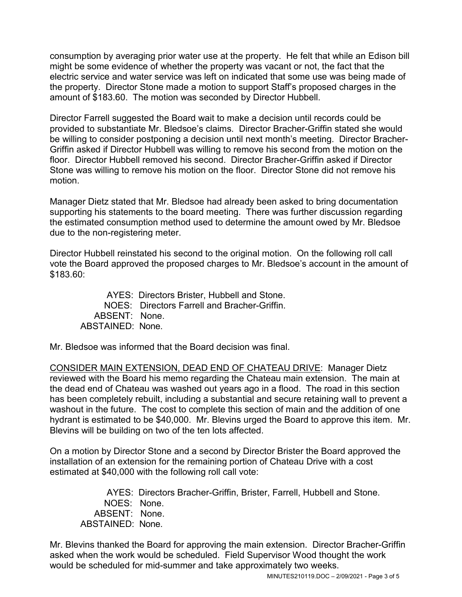consumption by averaging prior water use at the property. He felt that while an Edison bill might be some evidence of whether the property was vacant or not, the fact that the electric service and water service was left on indicated that some use was being made of the property. Director Stone made a motion to support Staff's proposed charges in the amount of \$183.60. The motion was seconded by Director Hubbell.

Director Farrell suggested the Board wait to make a decision until records could be provided to substantiate Mr. Bledsoe's claims. Director Bracher-Griffin stated she would be willing to consider postponing a decision until next month's meeting. Director Bracher-Griffin asked if Director Hubbell was willing to remove his second from the motion on the floor. Director Hubbell removed his second. Director Bracher-Griffin asked if Director Stone was willing to remove his motion on the floor. Director Stone did not remove his motion.

Manager Dietz stated that Mr. Bledsoe had already been asked to bring documentation supporting his statements to the board meeting. There was further discussion regarding the estimated consumption method used to determine the amount owed by Mr. Bledsoe due to the non-registering meter.

Director Hubbell reinstated his second to the original motion. On the following roll call vote the Board approved the proposed charges to Mr. Bledsoe's account in the amount of \$183.60:

AYES: Directors Brister, Hubbell and Stone. NOES: Directors Farrell and Bracher-Griffin. ABSENT: None. ABSTAINED: None.

Mr. Bledsoe was informed that the Board decision was final.

CONSIDER MAIN EXTENSION, DEAD END OF CHATEAU DRIVE: Manager Dietz reviewed with the Board his memo regarding the Chateau main extension. The main at the dead end of Chateau was washed out years ago in a flood. The road in this section has been completely rebuilt, including a substantial and secure retaining wall to prevent a washout in the future. The cost to complete this section of main and the addition of one hydrant is estimated to be \$40,000. Mr. Blevins urged the Board to approve this item. Mr. Blevins will be building on two of the ten lots affected.

On a motion by Director Stone and a second by Director Brister the Board approved the installation of an extension for the remaining portion of Chateau Drive with a cost estimated at \$40,000 with the following roll call vote:

AYES: Directors Bracher-Griffin, Brister, Farrell, Hubbell and Stone. NOES: None. ABSENT: None. ABSTAINED: None.

Mr. Blevins thanked the Board for approving the main extension. Director Bracher-Griffin asked when the work would be scheduled. Field Supervisor Wood thought the work would be scheduled for mid-summer and take approximately two weeks.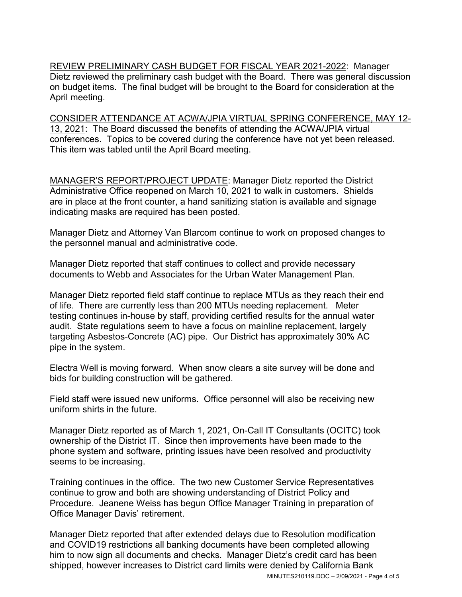REVIEW PRELIMINARY CASH BUDGET FOR FISCAL YEAR 2021-2022: Manager Dietz reviewed the preliminary cash budget with the Board. There was general discussion on budget items. The final budget will be brought to the Board for consideration at the April meeting.

CONSIDER ATTENDANCE AT ACWA/JPIA VIRTUAL SPRING CONFERENCE, MAY 12- 13, 2021: The Board discussed the benefits of attending the ACWA/JPIA virtual conferences. Topics to be covered during the conference have not yet been released. This item was tabled until the April Board meeting.

MANAGER'S REPORT/PROJECT UPDATE: Manager Dietz reported the District Administrative Office reopened on March 10, 2021 to walk in customers. Shields are in place at the front counter, a hand sanitizing station is available and signage indicating masks are required has been posted.

Manager Dietz and Attorney Van Blarcom continue to work on proposed changes to the personnel manual and administrative code.

Manager Dietz reported that staff continues to collect and provide necessary documents to Webb and Associates for the Urban Water Management Plan.

Manager Dietz reported field staff continue to replace MTUs as they reach their end of life. There are currently less than 200 MTUs needing replacement. Meter testing continues in-house by staff, providing certified results for the annual water audit. State regulations seem to have a focus on mainline replacement, largely targeting Asbestos-Concrete (AC) pipe. Our District has approximately 30% AC pipe in the system.

Electra Well is moving forward. When snow clears a site survey will be done and bids for building construction will be gathered.

Field staff were issued new uniforms. Office personnel will also be receiving new uniform shirts in the future.

Manager Dietz reported as of March 1, 2021, On-Call IT Consultants (OCITC) took ownership of the District IT. Since then improvements have been made to the phone system and software, printing issues have been resolved and productivity seems to be increasing.

Training continues in the office. The two new Customer Service Representatives continue to grow and both are showing understanding of District Policy and Procedure. Jeanene Weiss has begun Office Manager Training in preparation of Office Manager Davis' retirement.

Manager Dietz reported that after extended delays due to Resolution modification and COVID19 restrictions all banking documents have been completed allowing him to now sign all documents and checks. Manager Dietz's credit card has been shipped, however increases to District card limits were denied by California Bank